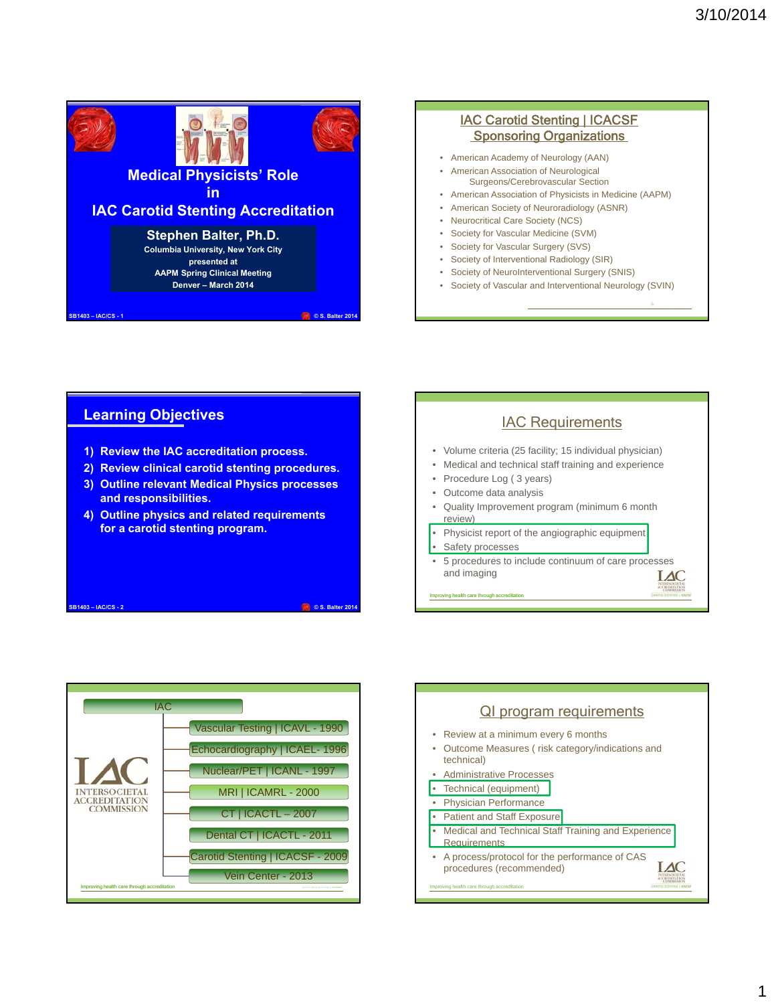

# **Learning Objectives**

- **1) Review the IAC accreditation process.**
- **2) Review clinical carotid stenting procedures.**
- **3) Outline relevant Medical Physics processes and responsibilities.**
- **4) Outline physics and related requirements for a carotid stenting program.**

**SB1403 – IAC/CS - 2 © S. Balter 2014**





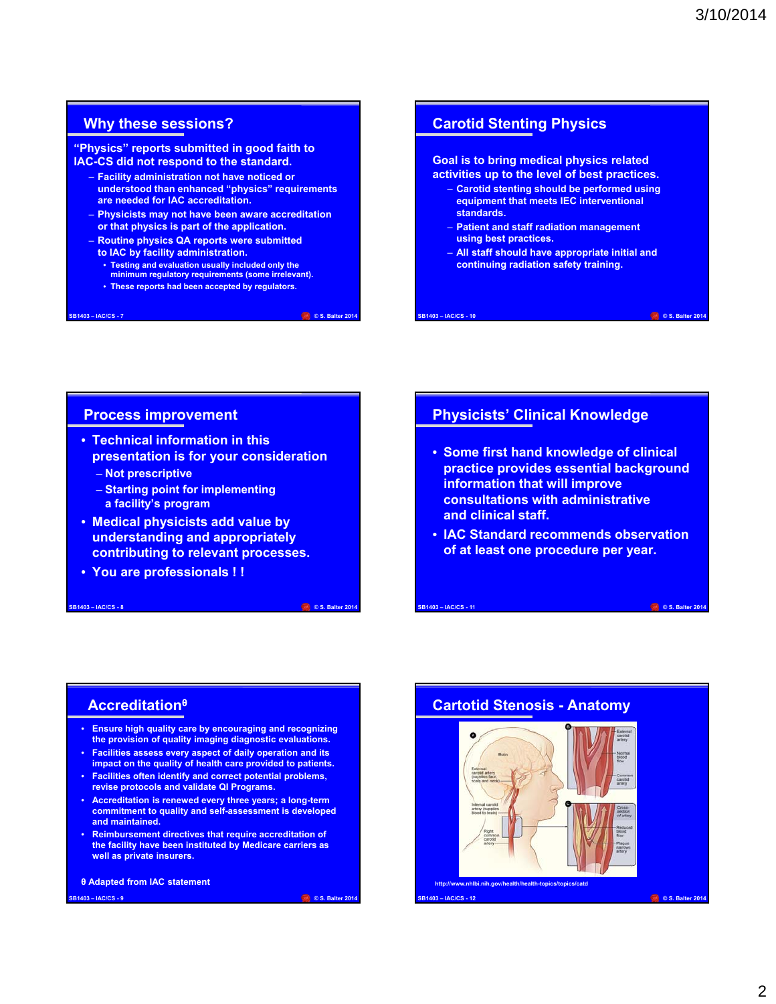# **Why these sessions?**

#### **"Physics" reports submitted in good faith to IAC-CS did not respond to the standard.**

- **Facility administration not have noticed or understood than enhanced "physics" requirements are needed for IAC accreditation.**
- **Physicists may not have been aware accreditation or that physics is part of the application.**
- **Routine physics QA reports were submitted to IAC by facility administration.**
	-
	- **Testing and evaluation usually included only the minimum regulatory requirements (some irrelevant).**
	- **These reports had been accepted by regulators.**

#### **SB1403 – IAC/CS - 7 © S. Balter 2014**

# **Carotid Stenting Physics**

**Goal is to bring medical physics related activities up to the level of best practices.**

- **Carotid stenting should be performed using equipment that meets IEC interventional standards.**
- **Patient and staff radiation management using best practices.**
- **All staff should have appropriate initial and continuing radiation safety training.**

**SB1403 – IAC/CS - 10 © S. Balter 2014**

# **Process improvement**

- **Technical information in this presentation is for your consideration**
	- **Not prescriptive**
	- **Starting point for implementing a facility's program**
- **Medical physicists add value by understanding and appropriately contributing to relevant processes.**
- **You are professionals ! !**

#### **SB1403 – IAC/CS - 8 © S. Balter 2014**

# **Physicists' Clinical Knowledge**

- **Some first hand knowledge of clinical practice provides essential background information that will improve consultations with administrative and clinical staff.**
- **IAC Standard recommends observation of at least one procedure per year.**

**SB1403 – IAC/CS - 11 © S. Balter 2014**

# **Accreditation<sup>θ</sup>**

- **Ensure high quality care by encouraging and recognizing the provision of quality imaging diagnostic evaluations.**
- **Facilities assess every aspect of daily operation and its impact on the quality of health care provided to patients.**
- **Facilities often identify and correct potential problems, revise protocols and validate QI Programs.**
- **Accreditation is renewed every three years; a long-term commitment to quality and self-assessment is developed and maintained.**
- **Reimbursement directives that require accreditation of the facility have been instituted by Medicare carriers as well as private insurers.**

#### **θ Adapted from IAC statement**

**SB1403 – IAC/CS - 9 © S. Balter 2014**

# **Cartotid Stenosis - Anatomy**

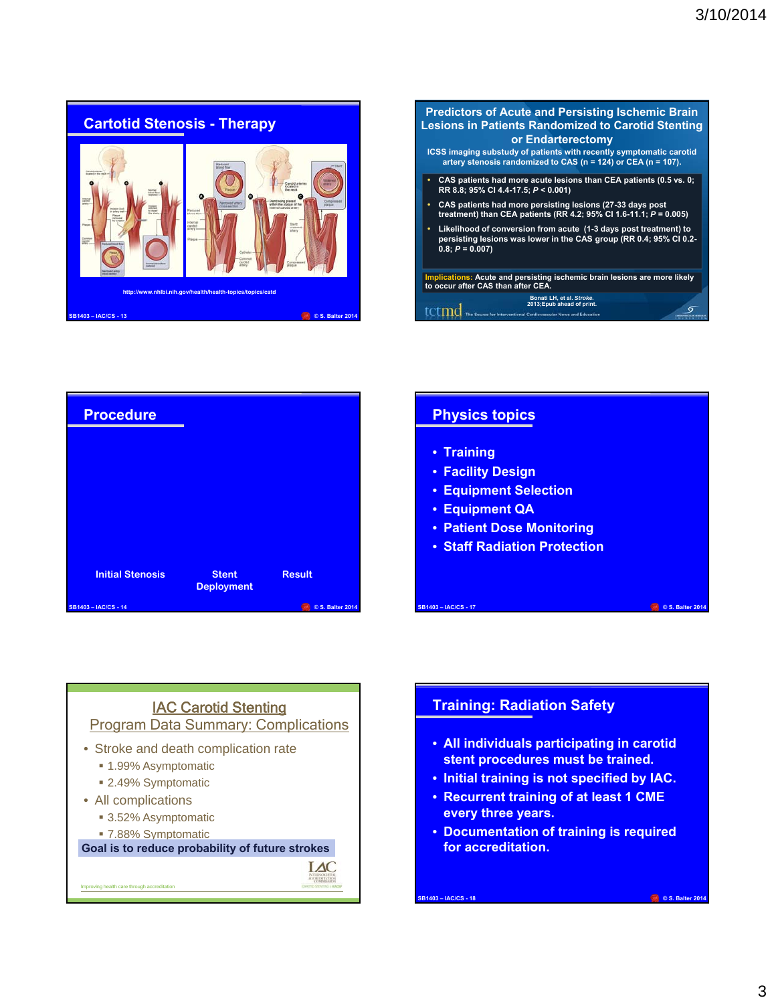



| <b>Procedure</b>        |                                   |                  |
|-------------------------|-----------------------------------|------------------|
|                         |                                   |                  |
|                         |                                   |                  |
|                         |                                   |                  |
|                         |                                   |                  |
| <b>Initial Stenosis</b> | <b>Stent</b><br><b>Deployment</b> | <b>Result</b>    |
| SB1403-IAC/CS-14        |                                   | © S. Balter 2014 |

# **Physics topics**

- **Training**
- **Facility Design**
- **Equipment Selection**
- **Equipment QA**
- **Patient Dose Monitoring**
- **Staff Radiation Protection**



**Goal is to reduce probability of future strokes**

 $IAC$ 

bing health care through accreditation

# **Training: Radiation Safety**

• **All individuals participating in carotid stent procedures must be trained.**

**SB1403 – IAC/CS - 17 © S. Balter 2014**

- **Initial training is not specified by IAC.**
- **Recurrent training of at least 1 CME every three years.**
- **Documentation of training is required for accreditation.**

**SB1403 – IAC/CS - 18 © S. Balter 2014**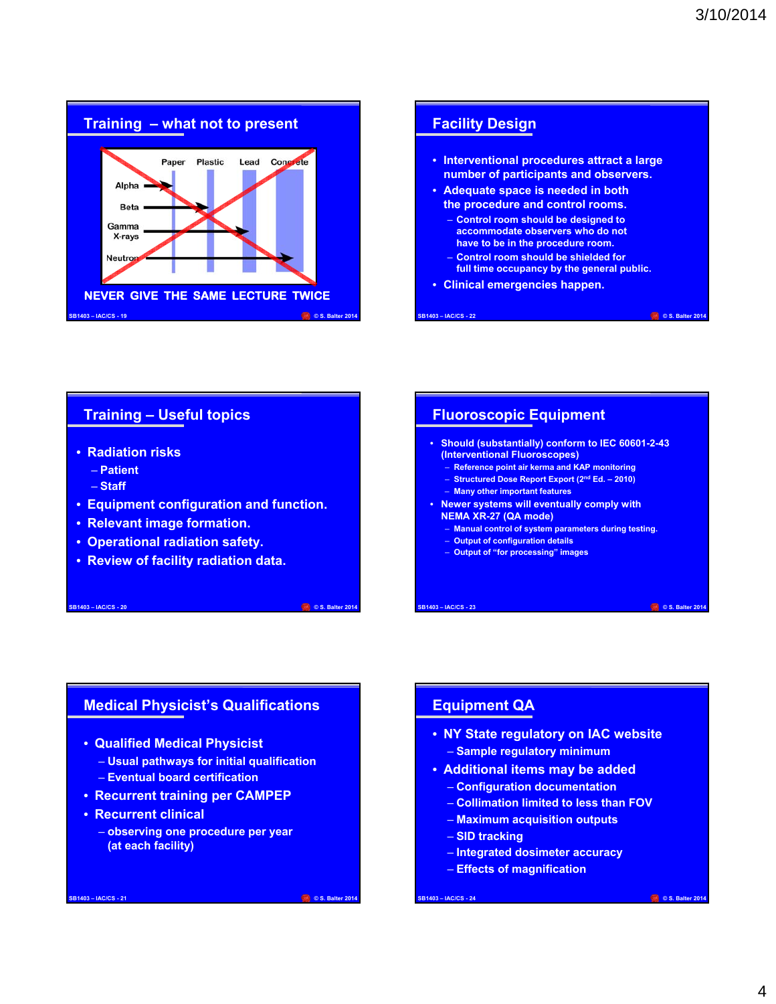



# **Training – Useful topics**

- **Radiation risks**
	- **Patient**
	- **Staff**
- **Equipment configuration and function.**
- **Relevant image formation.**
- **Operational radiation safety.**
- **Review of facility radiation data.**

#### **SB1403 – IAC/CS - 20 © S. Balter 2014**

### **Fluoroscopic Equipment**

- **Should (substantially) conform to IEC 60601-2-43 (Interventional Fluoroscopes)**
	- **Reference point air kerma and KAP monitoring**
	- **Structured Dose Report Export (2nd Ed. 2010)**
	- **Many other important features**
- **Newer systems will eventually comply with NEMA XR-27 (QA mode)**
	- **Manual control of system parameters during testing.**
	- **Output of configuration details**
	- **Output of "for processing" images**

**SB1403 – IAC/CS - 23 © S. Balter 2014**

# **Medical Physicist's Qualifications**

- **Qualified Medical Physicist**
	- **Usual pathways for initial qualification** – **Eventual board certification**
	-
- **Recurrent training per CAMPEP**
- **Recurrent clinical** 
	- **observing one procedure per year (at each facility)**

**SB1403 – IAC/CS - 21 © S. Balter 2014**

# **Equipment QA**

- **NY State regulatory on IAC website** – **Sample regulatory minimum**
- **Additional items may be added**
	- **Configuration documentation**
	- **Collimation limited to less than FOV**
	- **Maximum acquisition outputs**
	- **SID tracking**
	- **Integrated dosimeter accuracy**
	- **Effects of magnification**

**SB1403 – IAC/CS - 24 © S. Balter 2014**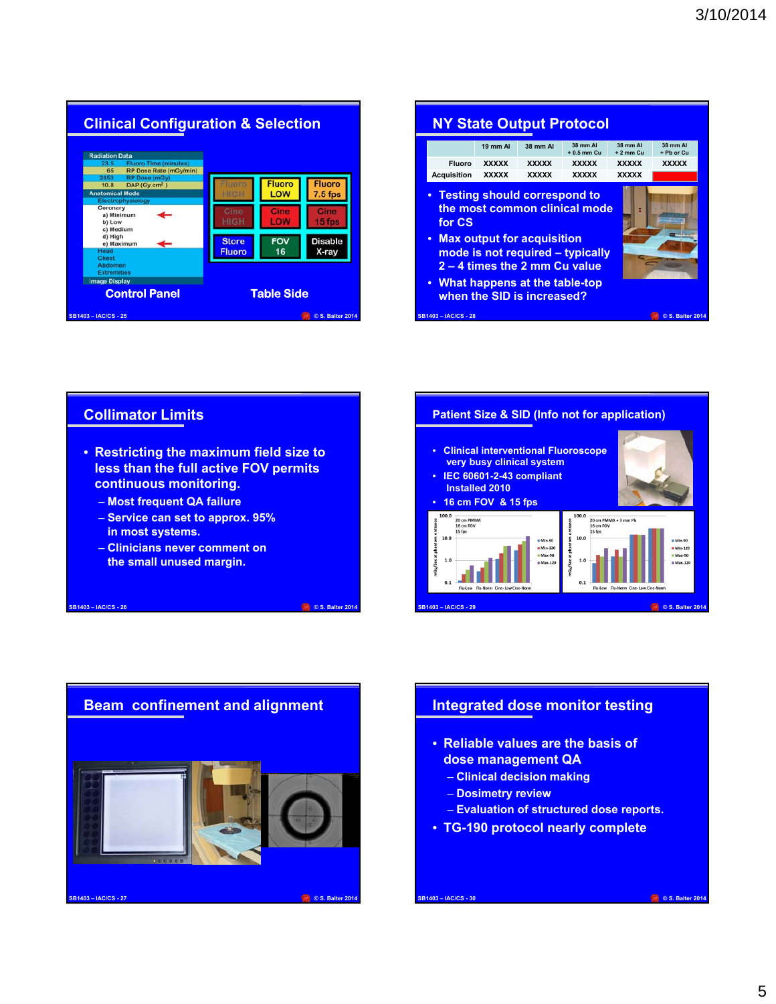

**Collimator Limits**

**continuous monitoring.** – **Most frequent QA failure** – **Service can set to approx. 95%** 

– **Clinicians never comment on the small unused margin.**

**in most systems.**

| <b>NY State Output Protocol</b>                                                                                                                                                                               |              |              |                            |                          |                        |  |  |
|---------------------------------------------------------------------------------------------------------------------------------------------------------------------------------------------------------------|--------------|--------------|----------------------------|--------------------------|------------------------|--|--|
|                                                                                                                                                                                                               | 19 mm Al     | 38 mm Al     | 38 mm Al<br>$+0.5$ mm $Cu$ | 38 mm Al<br>$+2$ mm $Cu$ | 38 mm AI<br>+ Pb or Cu |  |  |
| <b>Fluoro</b>                                                                                                                                                                                                 | <b>XXXXX</b> | <b>XXXXX</b> | <b>XXXXX</b>               | <b>XXXXX</b>             | <b>XXXXX</b>           |  |  |
| <b>Acquisition</b>                                                                                                                                                                                            | <b>XXXXX</b> | <b>XXXXX</b> | <b>XXXXX</b>               | <b>XXXXX</b>             |                        |  |  |
| the most common clinical mode<br>for CS<br>• Max output for acquisition<br>mode is not required - typically<br>2 – 4 times the 2 mm Cu value<br>• What happens at the table-top<br>when the SID is increased? |              |              |                            |                          |                        |  |  |
| <b>SB1403-IAC/CS-28</b>                                                                                                                                                                                       |              |              |                            |                          | © S. Balter 2014       |  |  |





# **Integrated dose monitor testing**

- **Reliable values are the basis of dose management QA**
	- **Clinical decision making**
	- **Dosimetry review**
	- **Evaluation of structured dose reports.**

**SB1403 – IAC/CS - 30 © S. Balter 2014**

• **TG-190 protocol nearly complete**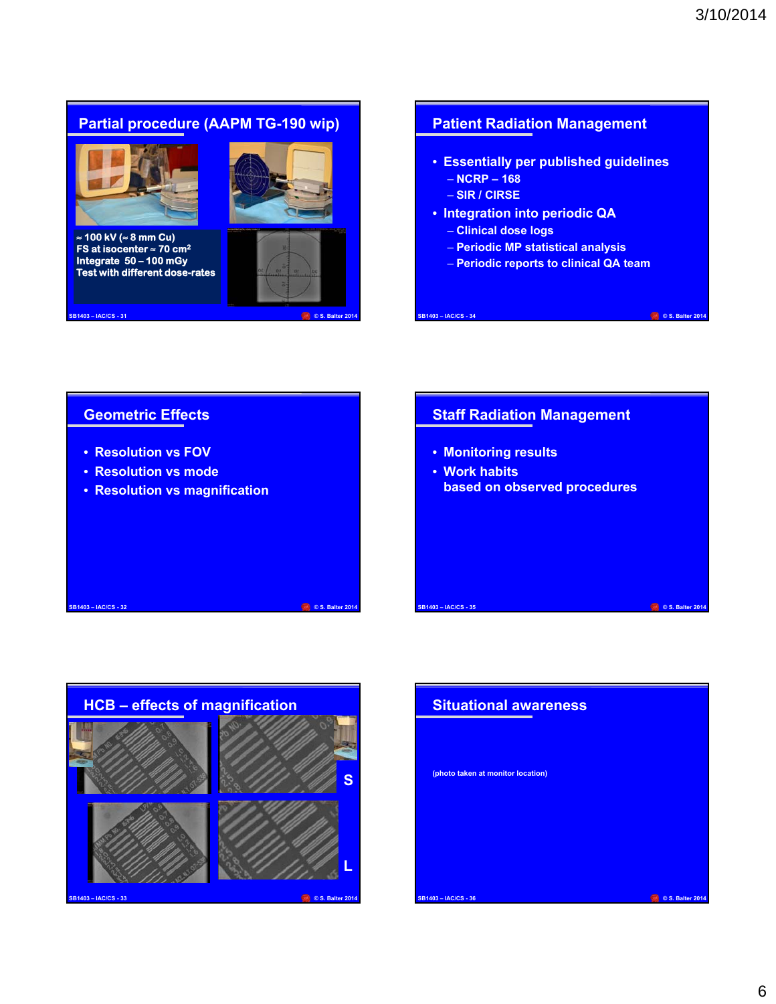# **Partial procedure (AAPM TG-190 wip)**



**≈ 100 kV (≈ 8 mm Cu) FS at isocenter ≈ 70 cm2 Integrate 50 – 100 mGy Test with different dose-rates**



**SB1403 – IAC/CS - 31 © S. Balter 2014**

# **Patient Radiation Management**

- **Essentially per published guidelines** – **NCRP – 168**
	- **SIR / CIRSE**
- **Integration into periodic QA**
	- **Clinical dose logs**
	- **Periodic MP statistical analysis**
	- **Periodic reports to clinical QA team**

**SB1403 – IAC/CS - 34 © S. Balter 2014**

# **Geometric Effects**

- **Resolution vs FOV**
- **Resolution vs mode**
- **Resolution vs magnification**

# **Staff Radiation Management**

- **Monitoring results**
- **Work habits based on observed procedures**

# **SB1403 – IAC/CS - 33 © S. Balter 2014 HCB – effects of magnification S L**

**SB1403 – IAC/CS - 32 © S. Balter 2014**

# **SB1403 – IAC/CS - 36 © S. Balter 2014 Situational awareness (photo taken at monitor location)**

**SB1403 – IAC/CS - 35 © S. Balter 2014**